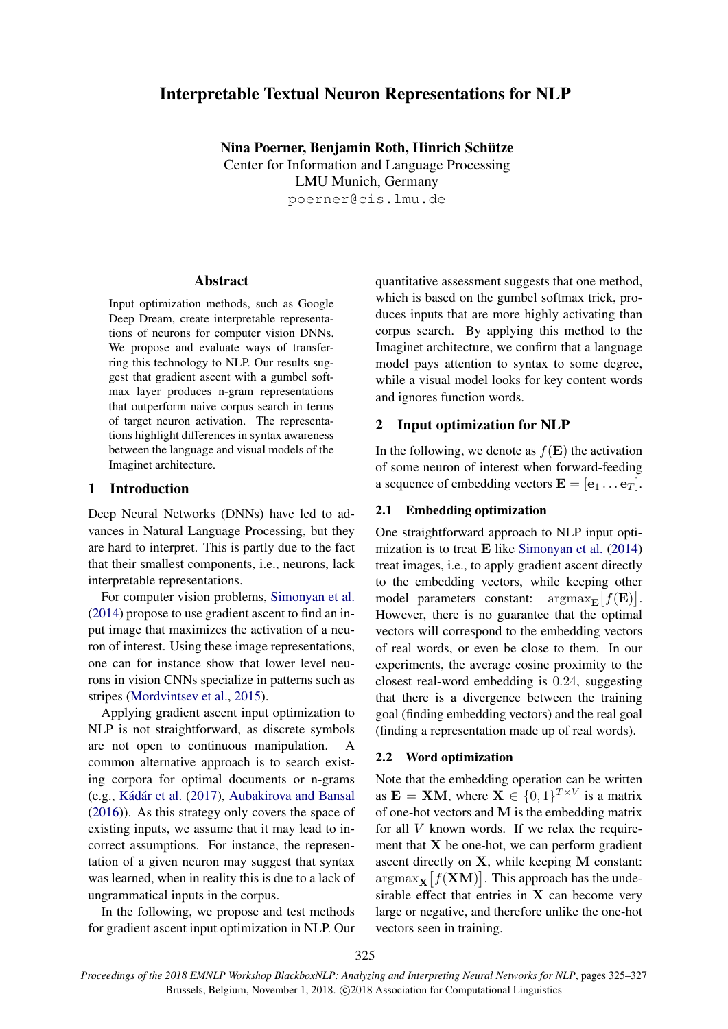# Interpretable Textual Neuron Representations for NLP

Nina Poerner, Benjamin Roth, Hinrich Schütze Center for Information and Language Processing LMU Munich, Germany poerner@cis.lmu.de

### Abstract

Input optimization methods, such as Google Deep Dream, create interpretable representations of neurons for computer vision DNNs. We propose and evaluate ways of transferring this technology to NLP. Our results suggest that gradient ascent with a gumbel softmax layer produces n-gram representations that outperform naive corpus search in terms of target neuron activation. The representations highlight differences in syntax awareness between the language and visual models of the Imaginet architecture.

## 1 Introduction

Deep Neural Networks (DNNs) have led to advances in Natural Language Processing, but they are hard to interpret. This is partly due to the fact that their smallest components, i.e., neurons, lack interpretable representations.

For computer vision problems, [Simonyan et al.](#page-2-0) [\(2014\)](#page-2-0) propose to use gradient ascent to find an input image that maximizes the activation of a neuron of interest. Using these image representations, one can for instance show that lower level neurons in vision CNNs specialize in patterns such as stripes [\(Mordvintsev et al.,](#page-2-1) [2015\)](#page-2-1).

Applying gradient ascent input optimization to NLP is not straightforward, as discrete symbols are not open to continuous manipulation. A common alternative approach is to search existing corpora for optimal documents or n-grams (e.g., Kádár et al. [\(2017\)](#page-2-2), [Aubakirova and Bansal](#page-2-3) [\(2016\)](#page-2-3)). As this strategy only covers the space of existing inputs, we assume that it may lead to incorrect assumptions. For instance, the representation of a given neuron may suggest that syntax was learned, when in reality this is due to a lack of ungrammatical inputs in the corpus.

In the following, we propose and test methods for gradient ascent input optimization in NLP. Our

quantitative assessment suggests that one method, which is based on the gumbel softmax trick, produces inputs that are more highly activating than corpus search. By applying this method to the Imaginet architecture, we confirm that a language model pays attention to syntax to some degree, while a visual model looks for key content words and ignores function words.

### 2 Input optimization for NLP

In the following, we denote as  $f(\mathbf{E})$  the activation of some neuron of interest when forward-feeding a sequence of embedding vectors  $\mathbf{E} = [\mathbf{e}_1 \dots \mathbf{e}_T].$ 

### 2.1 Embedding optimization

One straightforward approach to NLP input optimization is to treat  $E$  like [Simonyan et al.](#page-2-0) [\(2014\)](#page-2-0) treat images, i.e., to apply gradient ascent directly to the embedding vectors, while keeping other model parameters constant:  $\arg \max_{\mathbf{E}} [f(\mathbf{E})].$ However, there is no guarantee that the optimal vectors will correspond to the embedding vectors of real words, or even be close to them. In our experiments, the average cosine proximity to the closest real-word embedding is 0.24, suggesting that there is a divergence between the training goal (finding embedding vectors) and the real goal (finding a representation made up of real words).

### 2.2 Word optimization

Note that the embedding operation can be written as  $\mathbf{E} = \mathbf{X} \mathbf{M}$ , where  $\mathbf{X} \in \{0, 1\}^{T \times V}$  is a matrix of one-hot vectors and M is the embedding matrix for all  $V$  known words. If we relax the requirement that  $X$  be one-hot, we can perform gradient ascent directly on X, while keeping M constant:  $\operatorname{argmax}_{\mathbf{X}} [f(\mathbf{X}\mathbf{M})]$ . This approach has the undesirable effect that entries in  $X$  can become very large or negative, and therefore unlike the one-hot vectors seen in training.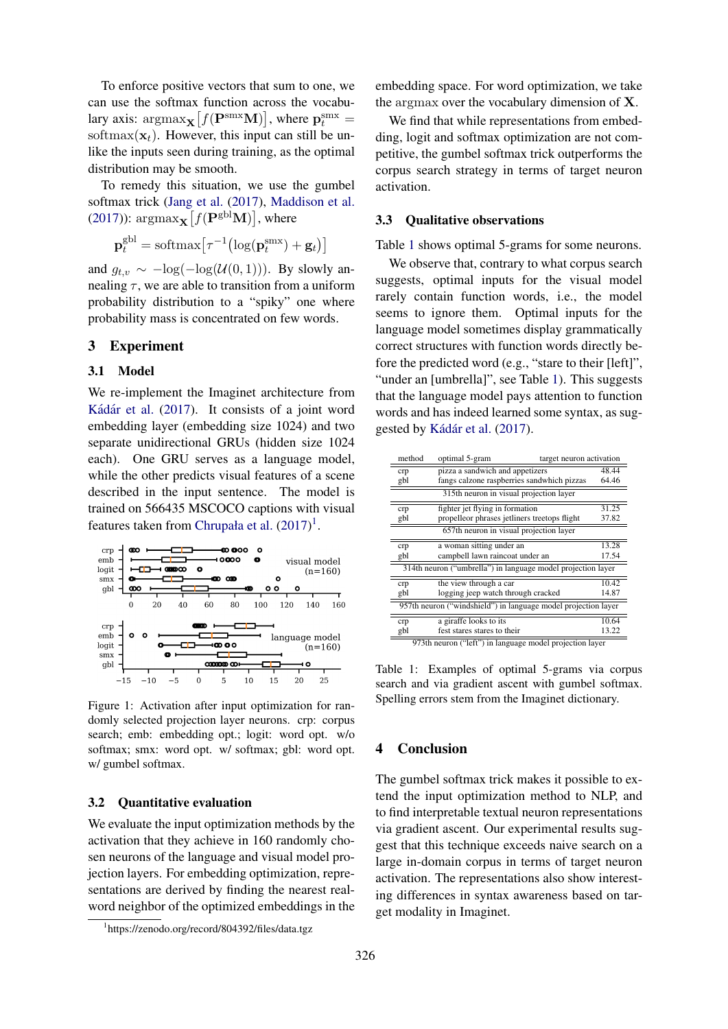To enforce positive vectors that sum to one, we can use the softmax function across the vocabulary axis:  $\mathrm{argmax}_{\mathbf{X}} [f(\mathbf{P}^{\text{smx}} \mathbf{M})],$  where  $\mathbf{p}^{\text{smx}}_t =$ softmax( $\mathbf{x}_t$ ). However, this input can still be unlike the inputs seen during training, as the optimal distribution may be smooth.

To remedy this situation, we use the gumbel softmax trick [\(Jang et al.](#page-2-4) [\(2017\)](#page-2-4), [Maddison et al.](#page-2-5) [\(2017\)](#page-2-5)):  $\mathrm{argmax}_{\mathbf{X}} [f(\mathbf{P}^{\text{gbl}} \mathbf{M})]$ , where

$$
\mathbf{p}_t^{\text{gbl}} = \text{softmax}\big[\tau^{-1} (\log(\mathbf{p}_t^{\text{smx}}) + \mathbf{g}_t)\big]
$$

and  $g_{t,v} \sim -\log(-\log(U(0, 1)))$ . By slowly annealing  $\tau$ , we are able to transition from a uniform probability distribution to a "spiky" one where probability mass is concentrated on few words.

### 3 Experiment

### 3.1 Model

We re-implement the Imaginet architecture from Kádár et al. [\(2017\)](#page-2-2). It consists of a joint word embedding layer (embedding size 1024) and two separate unidirectional GRUs (hidden size 1024 each). One GRU serves as a language model, while the other predicts visual features of a scene described in the input sentence. The model is trained on 566435 MSCOCO captions with visual features taken from [Chrupała et al.](#page-2-6)  $(2017)^1$  $(2017)^1$  $(2017)^1$ .



Figure 1: Activation after input optimization for randomly selected projection layer neurons. crp: corpus search; emb: embedding opt.; logit: word opt. w/o softmax; smx: word opt. w/ softmax; gbl: word opt. w/ gumbel softmax.

#### 3.2 Quantitative evaluation

We evaluate the input optimization methods by the activation that they achieve in 160 randomly chosen neurons of the language and visual model projection layers. For embedding optimization, representations are derived by finding the nearest realword neighbor of the optimized embeddings in the embedding space. For word optimization, we take the argmax over the vocabulary dimension of  $X$ .

We find that while representations from embedding, logit and softmax optimization are not competitive, the gumbel softmax trick outperforms the corpus search strategy in terms of target neuron activation.

### 3.3 Qualitative observations

Table [1](#page-1-1) shows optimal 5-grams for some neurons.

We observe that, contrary to what corpus search suggests, optimal inputs for the visual model rarely contain function words, i.e., the model seems to ignore them. Optimal inputs for the language model sometimes display grammatically correct structures with function words directly before the predicted word (e.g., "stare to their [left]", "under an [umbrella]", see Table [1\)](#page-1-1). This suggests that the language model pays attention to function words and has indeed learned some syntax, as sug-gested by Kádár et al. [\(2017\)](#page-2-2).

| method                                                         | optimal 5-gram                               | target neuron activation                   |       |
|----------------------------------------------------------------|----------------------------------------------|--------------------------------------------|-------|
| crp                                                            | pizza a sandwich and appetizers              |                                            | 48.44 |
| gbl                                                            |                                              | fangs calzone raspberries sandwhich pizzas |       |
| 315th neuron in visual projection layer                        |                                              |                                            |       |
| crp                                                            | fighter jet flying in formation              |                                            | 31.25 |
| gbl                                                            | propelleor phrases jetliners treetops flight |                                            | 37.82 |
| 657th neuron in visual projection layer                        |                                              |                                            |       |
| crp                                                            | a woman sitting under an                     |                                            | 13.28 |
| gbl                                                            | campbell lawn raincoat under an              |                                            | 17.54 |
| 314th neuron ("umbrella") in language model projection layer   |                                              |                                            |       |
| crp                                                            | the view through a car                       |                                            | 10.42 |
| gbl                                                            | logging jeep watch through cracked           |                                            | 14.87 |
| 957th neuron ("windshield") in language model projection layer |                                              |                                            |       |
| crp                                                            | a giraffe looks to its                       |                                            | 10.64 |
| gbl                                                            | fest stares stares to their                  |                                            | 13.22 |

<span id="page-1-1"></span>973th neuron ("left") in language model projection layer

Table 1: Examples of optimal 5-grams via corpus search and via gradient ascent with gumbel softmax. Spelling errors stem from the Imaginet dictionary.

### 4 Conclusion

The gumbel softmax trick makes it possible to extend the input optimization method to NLP, and to find interpretable textual neuron representations via gradient ascent. Our experimental results suggest that this technique exceeds naive search on a large in-domain corpus in terms of target neuron activation. The representations also show interesting differences in syntax awareness based on target modality in Imaginet.

<span id="page-1-0"></span><sup>1</sup> https://zenodo.org/record/804392/files/data.tgz